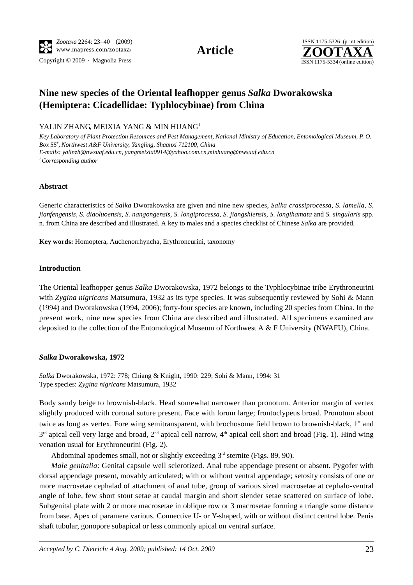Copyright © 2009 · Magnolia Press ISSN 1175-5334 (online edition)



# **Nine new species of the Oriental leafhopper genus** *Salka* **Dworakowska (Hemiptera: Cicadellidae: Typhlocybinae) from China**

YALIN ZHANG, MEIXIA YANG & MIN HUANG<sup>1</sup>

*Key Laboratory of Plant Protection Resources and Pest Management, National Ministry of Education, Entomological Museum, P. O. Box 55# , Northwest A&F University, Yangling, Shaanxi 712100, China E-mails: yalinzh@nwsuaf.edu.cn, yangmeixia0914@yahoo.com.cn,minhuang@nwsuaf.edu.cn 1 Corresponding author* 

### **Abstract**

Generic characteristics of *Salka* Dworakowska are given and nine new species, *Salka crassiprocessa, S. lamella, S. jianfengensis, S. diaoluoensis, S. nangongensis, S. longiprocessa, S. jiangshiensis, S. longihamata* and *S. singularis* spp. n. from China are described and illustrated. A key to males and a species checklist of Chinese *Salka* are provided.

**Key words:** Homoptera, Auchenorrhyncha, Erythroneurini, taxonomy

### **Introduction**

The Oriental leafhopper genus *Salka* Dworakowska, 1972 belongs to the Typhlocybinae tribe Erythroneurini with *Zygina nigricans* Matsumura, 1932 as its type species. It was subsequently reviewed by Sohi & Mann (1994) and Dworakowska (1994, 2006); forty-four species are known, including 20 species from China. In the present work, nine new species from China are described and illustrated. All specimens examined are deposited to the collection of the Entomological Museum of Northwest A  $\&$  F University (NWAFU), China.

### *Salka* **Dworakowska, 1972**

*Salka* Dworakowska, 1972: 778; Chiang & Knight, 1990: 229; Sohi & Mann, 1994: 31 Type species: *Zygina nigricans* Matsumura, 1932

Body sandy beige to brownish-black. Head somewhat narrower than pronotum. Anterior margin of vertex slightly produced with coronal suture present. Face with lorum large; frontoclypeus broad. Pronotum about twice as long as vertex. Fore wing semitransparent, with brochosome field brown to brownish-black, 1<sup>st</sup> and  $3<sup>rd</sup>$  apical cell very large and broad,  $2<sup>nd</sup>$  apical cell narrow,  $4<sup>th</sup>$  apical cell short and broad (Fig. 1). Hind wing venation usual for Erythroneurini (Fig. 2).

Abdominal apodemes small, not or slightly exceeding  $3<sup>rd</sup>$  sternite (Figs. 89, 90).

*Male genitalia*: Genital capsule well sclerotized. Anal tube appendage present or absent. Pygofer with dorsal appendage present, movably articulated; with or without ventral appendage; setosity consists of one or more macrosetae cephalad of attachment of anal tube, group of various sized macrosetae at cephalo-ventral angle of lobe, few short stout setae at caudal margin and short slender setae scattered on surface of lobe. Subgenital plate with 2 or more macrosetae in oblique row or 3 macrosetae forming a triangle some distance from base. Apex of paramere various. Connective U- or Y-shaped, with or without distinct central lobe. Penis shaft tubular, gonopore subapical or less commonly apical on ventral surface.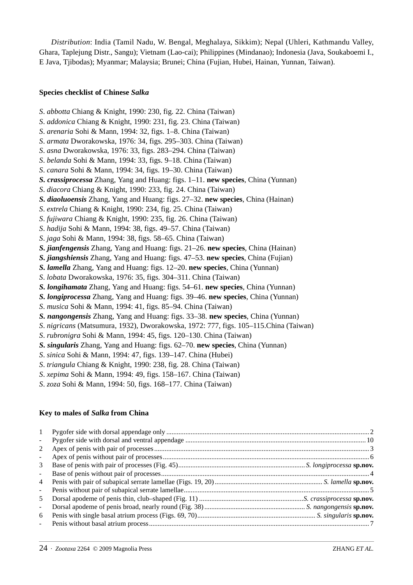*Distribution*: India (Tamil Nadu, W. Bengal, Meghalaya, Sikkim); Nepal (Uhleri, Kathmandu Valley, Ghara, Taplejung Distr., Sangu); Vietnam (Lao-cai); Philippines (Mindanao); Indonesia (Java, Soukaboemi I., E Java, Tjibodas); Myanmar; Malaysia; Brunei; China (Fujian, Hubei, Hainan, Yunnan, Taiwan).

#### **Species checklist of Chinese** *Salka*

- *S*. *abbotta* Chiang & Knight, 1990: 230, fig. 22. China (Taiwan)
- *S*. *addonica* Chiang & Knight, 1990: 231, fig. 23. China (Taiwan)
- *S*. *arenaria* Sohi & Mann, 1994: 32, figs. 1–8. China (Taiwan)
- *S*. *armata* Dworakowska, 1976: 34, figs. 295–303. China (Taiwan)
- *S*. *asna* Dworakowska, 1976: 33, figs. 283–294. China (Taiwan)
- *S*. *belanda* Sohi & Mann, 1994: 33, figs. 9–18. China (Taiwan)
- *S*. *canara* Sohi & Mann, 1994: 34, figs. 19–30. China (Taiwan)
- *S. crassiprocessa* Zhang, Yang and Huang: figs. 1–11. **new species**, China (Yunnan)
- *S*. *diacora* Chiang & Knight, 1990: 233, fig. 24. China (Taiwan)
- *S. diaoluoensis* Zhang, Yang and Huang: figs. 27–32. **new species**, China (Hainan)
- *S*. *extrela* Chiang & Knight, 1990: 234, fig. 25. China (Taiwan)
- *S*. *fujiwara* Chiang & Knight, 1990: 235, fig. 26. China (Taiwan)
- *S*. *hadija* Sohi & Mann, 1994: 38, figs. 49–57. China (Taiwan)
- *S*. *jaga* Sohi & Mann, 1994: 38, figs. 58–65. China (Taiwan)
- *S. jianfengensis* Zhang, Yang and Huang: figs. 21–26. **new species**, China (Hainan)
- *S. jiangshiensis* Zhang, Yang and Huang: figs. 47–53. **new species**, China (Fujian)
- *S. lamella* Zhang, Yang and Huang: figs. 12–20. **new species**, China (Yunnan)
- *S*. *lobata* Dworakowska, 1976: 35, figs. 304–311. China (Taiwan)
- *S. longihamata* Zhang, Yang and Huang: figs. 54–61. **new species**, China (Yunnan)
- *S. longiprocessa* Zhang, Yang and Huang: figs. 39–46. **new species**, China (Yunnan)
- *S*. *musica* Sohi & Mann, 1994: 41, figs. 85–94. China (Taiwan)
- *S. nangongensis* Zhang, Yang and Huang: figs. 33–38. **new species**, China (Yunnan)
- *S*. *nigricans* (Matsumura, 1932), Dworakowska, 1972: 777, figs. 105–115.China (Taiwan)
- *S*. *rubronigra* Sohi & Mann, 1994: 45, figs. 120–130. China (Taiwan)
- *S. singularis* Zhang, Yang and Huang: figs. 62–70. **new species**, China (Yunnan)
- *S*. *sinica* Sohi & Mann, 1994: 47, figs. 139–147. China (Hubei)
- *S*. *triangula* Chiang & Knight, 1990: 238, fig. 28. China (Taiwan)
- *S*. *xepima* Sohi & Mann, 1994: 49, figs. 158–167. China (Taiwan)
- *S*. *zoza* Sohi & Mann, 1994: 50, figs. 168–177. China (Taiwan)

### **Key to males of** *Salka* **from China**

| $\mathbf{1}$             |  |
|--------------------------|--|
| $\overline{\phantom{a}}$ |  |
| 2                        |  |
| $\blacksquare$           |  |
| 3                        |  |
| $\overline{\phantom{a}}$ |  |
| $\overline{4}$           |  |
| $\blacksquare$           |  |
| 5                        |  |
| $\overline{\phantom{a}}$ |  |
| 6                        |  |
|                          |  |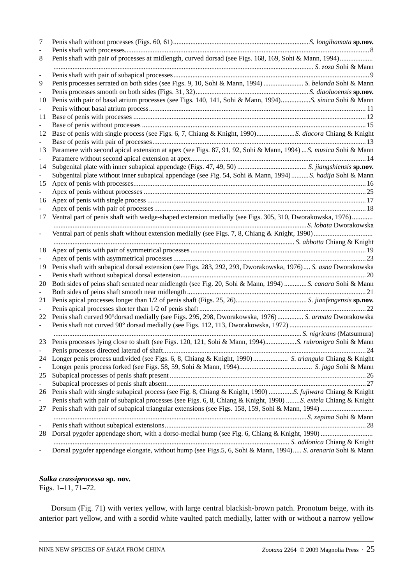| 7                        |                                                                                                                |  |
|--------------------------|----------------------------------------------------------------------------------------------------------------|--|
| 8                        | Penis shaft with pair of processes at midlength, curved dorsad (see Figs. 168, 169, Sohi & Mann, 1994)         |  |
|                          |                                                                                                                |  |
| $\overline{\phantom{a}}$ |                                                                                                                |  |
| 9                        |                                                                                                                |  |
|                          |                                                                                                                |  |
| 10                       | Penis with pair of basal atrium processes (see Figs. 140, 141, Sohi & Mann, 1994)S. sinica Sohi & Mann         |  |
|                          |                                                                                                                |  |
| 11                       |                                                                                                                |  |
|                          |                                                                                                                |  |
| 12                       |                                                                                                                |  |
| 13                       | Paramere with second apical extension at apex (see Figs. 87, 91, 92, Sohi & Mann, 1994) S. musica Sohi & Mann  |  |
|                          |                                                                                                                |  |
| 14                       |                                                                                                                |  |
|                          | Subgenital plate without inner subapical appendage (see Fig. 54, Sohi & Mann, 1994)S. hadija Sohi & Mann       |  |
| 15                       |                                                                                                                |  |
|                          |                                                                                                                |  |
| 16                       |                                                                                                                |  |
|                          |                                                                                                                |  |
| 17                       | Ventral part of penis shaft with wedge-shaped extension medially (see Figs. 305, 310, Dworakowska, 1976)       |  |
| -                        |                                                                                                                |  |
|                          |                                                                                                                |  |
| 18                       |                                                                                                                |  |
| 19                       | Penis shaft with subapical dorsal extension (see Figs. 283, 292, 293, Dworakowska, 1976) S. asna Dworakowska   |  |
|                          |                                                                                                                |  |
| 20                       | Both sides of peins shaft serrated near midlength (see Fig. 20, Sohi & Mann, 1994)  S. canara Sohi & Mann      |  |
|                          |                                                                                                                |  |
| 21                       |                                                                                                                |  |
|                          |                                                                                                                |  |
| 22                       | Penis shaft curved 90° dorsad medially (see Figs. 295, 298, Dworakowska, 1976)  S. armata Dworakowska          |  |
| $\overline{\phantom{0}}$ |                                                                                                                |  |
|                          |                                                                                                                |  |
|                          |                                                                                                                |  |
|                          |                                                                                                                |  |
| 24                       |                                                                                                                |  |
| $\overline{\phantom{a}}$ |                                                                                                                |  |
| 25                       |                                                                                                                |  |
| $\overline{\phantom{a}}$ |                                                                                                                |  |
| 26                       | Penis shaft with single subapical process (see Fig. 8, Chiang & Knight, 1990)  S. fujiwara Chiang & Knight     |  |
| $\overline{\phantom{a}}$ | Penis shaft with pair of subapical processes (see Figs. 6, 8, Chiang & Knight, 1990) S. extela Chiang & Knight |  |
| 27                       |                                                                                                                |  |
| $\frac{1}{2}$            |                                                                                                                |  |
| 28                       |                                                                                                                |  |
|                          |                                                                                                                |  |
| -                        | Dorsal pygofer appendage elongate, without hump (see Figs.5, 6, Sohi & Mann, 1994) S. arenaria Sohi & Mann     |  |

## *Salka crassiprocessa* **sp. nov.**

Figs. 1–11, 71–72.

Dorsum (Fig. 71) with vertex yellow, with large central blackish-brown patch. Pronotum beige, with its anterior part yellow, and with a sordid white vaulted patch medially, latter with or without a narrow yellow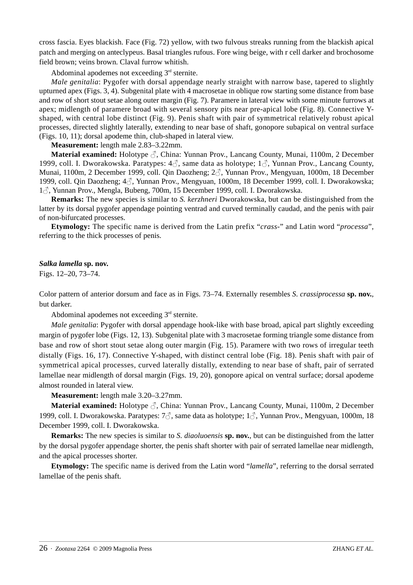cross fascia. Eyes blackish. Face (Fig. 72) yellow, with two fulvous streaks running from the blackish apical patch and merging on anteclypeus. Basal triangles rufous. Fore wing beige, with r cell darker and brochosome field brown; veins brown. Claval furrow whitish.

Abdominal apodemes not exceeding  $3<sup>rd</sup>$  sternite.

*Male genitalia*: Pygofer with dorsal appendage nearly straight with narrow base, tapered to slightly upturned apex (Figs. 3, 4). Subgenital plate with 4 macrosetae in oblique row starting some distance from base and row of short stout setae along outer margin (Fig. 7). Paramere in lateral view with some minute furrows at apex; midlength of paramere broad with several sensory pits near pre-apical lobe (Fig. 8). Connective Yshaped, with central lobe distinct (Fig. 9). Penis shaft with pair of symmetrical relatively robust apical processes, directed slightly laterally, extending to near base of shaft, gonopore subapical on ventral surface (Figs. 10, 11); dorsal apodeme thin, club-shaped in lateral view.

**Measurement:** length male 2.83–3.22mm.

**Material examined:** Holotype ♂, China: Yunnan Prov., Lancang County, Munai, 1100m, 2 December 1999, coll. I. Dworakowska. Paratypes:  $4\delta$ , same data as holotype;  $1\delta$ , Yunnan Prov., Lancang County, Munai, 1100m, 2 December 1999, coll. Qin Daozheng; 2♂, Yunnan Prov., Mengyuan, 1000m, 18 December 1999, coll. Qin Daozheng; 4♂, Yunnan Prov., Mengyuan, 1000m, 18 December 1999, coll. I. Dworakowska; <sup>1</sup>♂, Yunnan Prov., Mengla, Bubeng, 700m, 15 December 1999, coll. I. Dworakowska.

**Remarks:** The new species is similar to *S. kerzhneri* Dworakowska, but can be distinguished from the latter by its dorsal pygofer appendage pointing ventrad and curved terminally caudad, and the penis with pair of non-bifurcated processes.

**Etymology:** The specific name is derived from the Latin prefix "*crass-*" and Latin word "*processa*", referring to the thick processes of penis.

## *Salka lamella* **sp. nov.**

Figs. 12–20, 73–74.

Color pattern of anterior dorsum and face as in Figs. 73–74. Externally resembles *S*. *crassiprocessa* **sp. nov.**, but darker.

Abdominal apodemes not exceeding  $3<sup>rd</sup>$  sternite.

*Male genitalia*: Pygofer with dorsal appendage hook-like with base broad, apical part slightly exceeding margin of pygofer lobe (Figs. 12, 13). Subgenital plate with 3 macrosetae forming triangle some distance from base and row of short stout setae along outer margin (Fig. 15). Paramere with two rows of irregular teeth distally (Figs. 16, 17). Connective Y-shaped, with distinct central lobe (Fig. 18). Penis shaft with pair of symmetrical apical processes, curved laterally distally, extending to near base of shaft, pair of serrated lamellae near midlength of dorsal margin (Figs. 19, 20), gonopore apical on ventral surface; dorsal apodeme almost rounded in lateral view.

**Measurement:** length male 3.20–3.27mm.

**Material examined:** Holotype ♂, China: Yunnan Prov., Lancang County, Munai, 1100m, 2 December 1999, coll. I. Dworakowska. Paratypes: 7♂, same data as holotype; 1♂, Yunnan Prov., Mengyuan, 1000m, 18 December 1999, coll. I. Dworakowska.

**Remarks:** The new species is similar to *S. diaoluoensis* **sp. nov.**, but can be distinguished from the latter by the dorsal pygofer appendage shorter, the penis shaft shorter with pair of serrated lamellae near midlength, and the apical processes shorter.

**Etymology:** The specific name is derived from the Latin word "*lamella*", referring to the dorsal serrated lamellae of the penis shaft.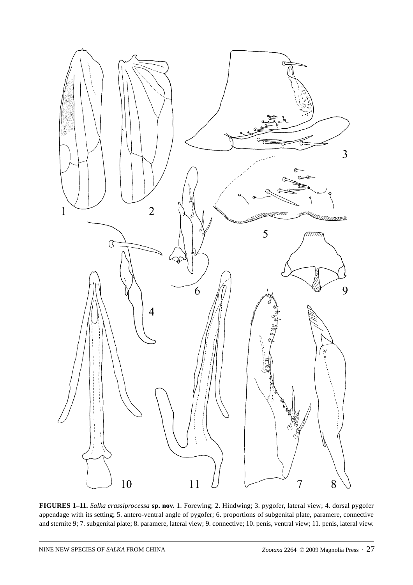

**FIGURES 1–11.** *Salka crassiprocessa* **sp. nov.** 1. Forewing; 2. Hindwing; 3. pygofer, lateral view; 4. dorsal pygofer appendage with its setting; 5. antero-ventral angle of pygofer; 6. proportions of subgenital plate, paramere, connective and sternite 9; 7. subgenital plate; 8. paramere, lateral view; 9. connective; 10. penis, ventral view; 11. penis, lateral view.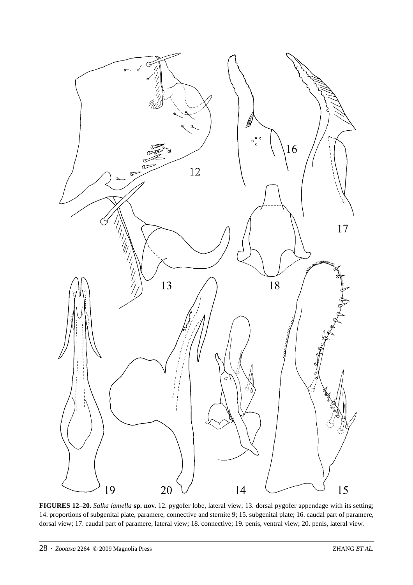

**FIGURES 12**–**20.** *Salka lamella* **sp. nov.** 12. pygofer lobe, lateral view; 13. dorsal pygofer appendage with its setting; 14. proportions of subgenital plate, paramere, connective and sternite 9; 15. subgenital plate; 16. caudal part of paramere, dorsal view; 17. caudal part of paramere, lateral view; 18. connective; 19. penis, ventral view; 20. penis, lateral view.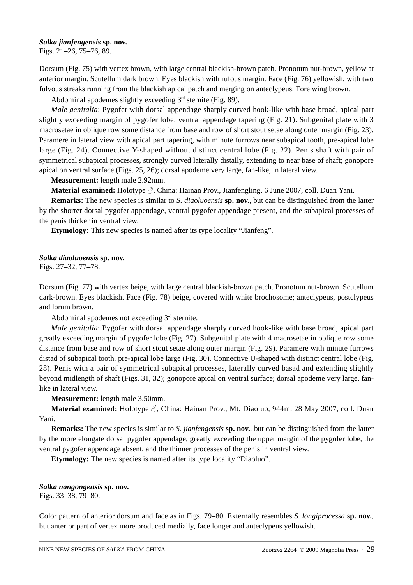### *Salka jianfengensis* **sp. nov.**

Figs. 21–26, 75–76, 89.

Dorsum (Fig. 75) with vertex brown, with large central blackish-brown patch. Pronotum nut-brown, yellow at anterior margin. Scutellum dark brown. Eyes blackish with rufous margin. Face (Fig. 76) yellowish, with two fulvous streaks running from the blackish apical patch and merging on anteclypeus. Fore wing brown.

Abdominal apodemes slightly exceeding  $3<sup>rd</sup>$  sternite (Fig. 89).

*Male genitalia*: Pygofer with dorsal appendage sharply curved hook-like with base broad, apical part slightly exceeding margin of pygofer lobe; ventral appendage tapering (Fig. 21). Subgenital plate with 3 macrosetae in oblique row some distance from base and row of short stout setae along outer margin (Fig. 23). Paramere in lateral view with apical part tapering, with minute furrows near subapical tooth, pre-apical lobe large (Fig. 24). Connective Y-shaped without distinct central lobe (Fig. 22). Penis shaft with pair of symmetrical subapical processes, strongly curved laterally distally, extending to near base of shaft; gonopore apical on ventral surface (Figs. 25, 26); dorsal apodeme very large, fan-like, in lateral view.

### **Measurement:** length male 2.92mm.

**Material examined:** Holotype ♂, China: Hainan Prov., Jianfengling, 6 June 2007, coll. Duan Yani.

**Remarks:** The new species is similar to *S. diaoluoensis* **sp. nov.**, but can be distinguished from the latter by the shorter dorsal pygofer appendage, ventral pygofer appendage present, and the subapical processes of the penis thicker in ventral view.

**Etymology:** This new species is named after its type locality "Jianfeng".

### *Salka diaoluoensis* **sp. nov.**

Figs. 27–32, 77–78.

Dorsum (Fig. 77) with vertex beige, with large central blackish-brown patch. Pronotum nut-brown. Scutellum dark-brown. Eyes blackish. Face (Fig. 78) beige, covered with white brochosome; anteclypeus, postclypeus and lorum brown.

Abdominal apodemes not exceeding  $3<sup>rd</sup>$  sternite.

*Male genitalia*: Pygofer with dorsal appendage sharply curved hook-like with base broad, apical part greatly exceeding margin of pygofer lobe (Fig. 27). Subgenital plate with 4 macrosetae in oblique row some distance from base and row of short stout setae along outer margin (Fig. 29). Paramere with minute furrows distad of subapical tooth, pre-apical lobe large (Fig. 30). Connective U-shaped with distinct central lobe (Fig. 28). Penis with a pair of symmetrical subapical processes, laterally curved basad and extending slightly beyond midlength of shaft (Figs. 31, 32); gonopore apical on ventral surface; dorsal apodeme very large, fanlike in lateral view.

**Measurement:** length male 3.50mm.

**Material examined:** Holotype ♂, China: Hainan Prov., Mt. Diaoluo, 944m, 28 May 2007, coll. Duan Yani.

**Remarks:** The new species is similar to *S. jianfengensis* **sp. nov.**, but can be distinguished from the latter by the more elongate dorsal pygofer appendage, greatly exceeding the upper margin of the pygofer lobe, the ventral pygofer appendage absent, and the thinner processes of the penis in ventral view.

**Etymology:** The new species is named after its type locality "Diaoluo".

## *Salka nangongensis* **sp. nov.**

Figs. 33–38, 79–80.

Color pattern of anterior dorsum and face as in Figs. 79–80. Externally resembles *S*. *longiprocessa* **sp. nov.**, but anterior part of vertex more produced medially, face longer and anteclypeus yellowish.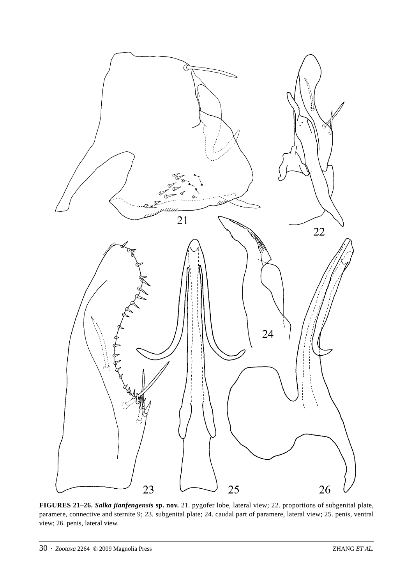

**FIGURES 21**–**26.** *Salka jianfengensis* **sp. nov.** 21. pygofer lobe, lateral view; 22. proportions of subgenital plate, paramere, connective and sternite 9; 23. subgenital plate; 24. caudal part of paramere, lateral view; 25. penis, ventral view; 26. penis, lateral view.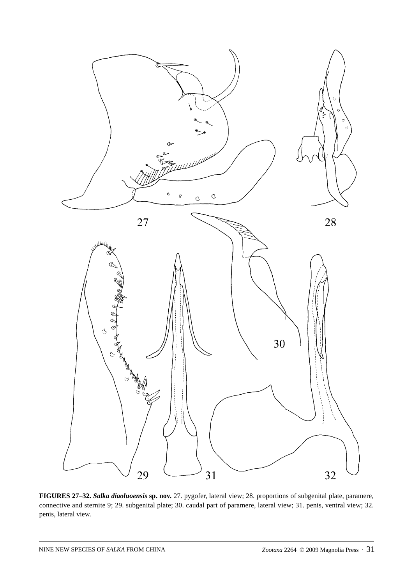

**FIGURES 27**–**32.** *Salka diaoluoensis* **sp. nov.** 27. pygofer, lateral view; 28. proportions of subgenital plate, paramere, connective and sternite 9; 29. subgenital plate; 30. caudal part of paramere, lateral view; 31. penis, ventral view; 32. penis, lateral view.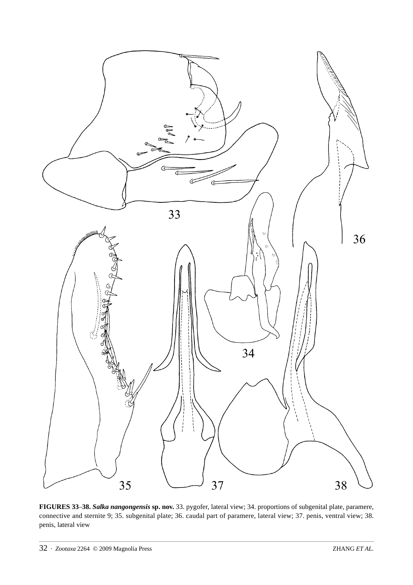

**FIGURES 33**–**38.** *Salka nangongensis* **sp. nov.** 33. pygofer, lateral view; 34. proportions of subgenital plate, paramere, connective and sternite 9; 35. subgenital plate; 36. caudal part of paramere, lateral view; 37. penis, ventral view; 38. penis, lateral view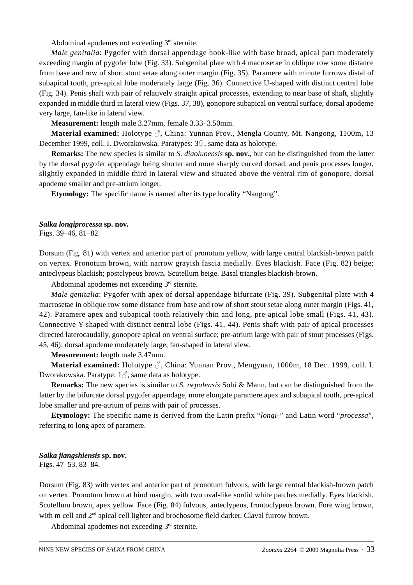Abdominal apodemes not exceeding  $3<sup>rd</sup>$  sternite.

*Male genitalia*: Pygofer with dorsal appendage hook-like with base broad, apical part moderately exceeding margin of pygofer lobe (Fig. 33). Subgenital plate with 4 macrosetae in oblique row some distance from base and row of short stout setae along outer margin (Fig. 35). Paramere with minute furrows distal of subapical tooth, pre-apical lobe moderately large (Fig. 36). Connective U-shaped with distinct central lobe (Fig. 34). Penis shaft with pair of relatively straight apical processes, extending to near base of shaft, slightly expanded in middle third in lateral view (Figs. 37, 38), gonopore subapical on ventral surface; dorsal apodeme very large, fan-like in lateral view.

**Measurement:** length male 3.27mm, female 3.33–3.50mm.

**Material examined:** Holotype ♂, China: Yunnan Prov., Mengla County, Mt. Nangong, 1100m, 13 December 1999, coll. I. Dworakowska. Paratypes: 3♀, same data as holotype.

**Remarks:** The new species is similar to *S. diaoluoensis* **sp. nov.**, but can be distinguished from the latter by the dorsal pygofer appendage being shorter and more sharply curved dorsad, and penis processes longer, slightly expanded in middle third in lateral view and situated above the ventral rim of gonopore, dorsal apodeme smaller and pre-atrium longer.

**Etymology:** The specific name is named after its type locality "Nangong".

## *Salka longiprocessa* **sp. nov.**

Figs. 39–46, 81–82.

Dorsum (Fig. 81) with vertex and anterior part of pronotum yellow, with large central blackish-brown patch on vertex. Pronotum brown, with narrow grayish fascia medially. Eyes blackish. Face (Fig. 82) beige; anteclypeus blackish; postclypeus brown. Scutellum beige. Basal triangles blackish-brown.

Abdominal apodemes not exceeding  $3<sup>rd</sup>$  sternite.

*Male genitalia*: Pygofer with apex of dorsal appendage bifurcate (Fig. 39). Subgenital plate with 4 macrosetae in oblique row some distance from base and row of short stout setae along outer margin (Figs. 41, 42). Paramere apex and subapical tooth relatively thin and long, pre-apical lobe small (Figs. 41, 43). Connective Y-shaped with distinct central lobe (Figs. 41, 44). Penis shaft with pair of apical processes directed laterocaudally, gonopore apical on ventral surface; pre-atrium large with pair of stout processes (Figs. 45, 46); dorsal apodeme moderately large, fan-shaped in lateral view.

**Measurement:** length male 3.47mm.

**Material examined:** Holotype ♂, China: Yunnan Prov., Mengyuan, 1000m, 18 Dec. 1999, coll. I. Dworakowska. Paratype: 1♂, same data as holotype.

**Remarks:** The new species is similar to *S. nepalensis* Sohi & Mann, but can be distinguished from the latter by the bifurcate dorsal pygofer appendage, more elongate paramere apex and subapical tooth, pre-apical lobe smaller and pre-atrium of peins with pair of processes.

**Etymology:** The specific name is derived from the Latin prefix "*longi*-" and Latin word "*processa*", referring to long apex of paramere.

#### *Salka jiangshiensis* **sp. nov.**

Figs. 47–53, 83–84.

Dorsum (Fig. 83) with vertex and anterior part of pronotum fulvous, with large central blackish-brown patch on vertex. Pronotum brown at hind margin, with two oval-like sordid white patches medially. Eyes blackish. Scutellum brown, apex yellow. Face (Fig. 84) fulvous, anteclypeus, frontoclypeus brown. Fore wing brown, with m cell and  $2<sup>nd</sup>$  apical cell lighter and brochosome field darker. Claval furrow brown.

Abdominal apodemes not exceeding  $3<sup>rd</sup>$  sternite.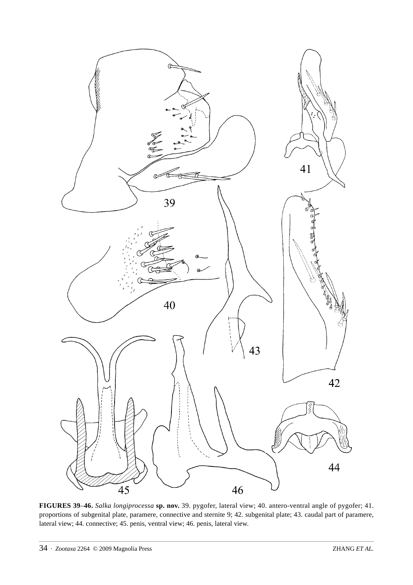

**FIGURES 39**–**46.** *Salka longiprocessa* **sp. nov.** 39. pygofer, lateral view; 40. antero-ventral angle of pygofer; 41. proportions of subgenital plate, paramere, connective and sternite 9; 42. subgenital plate; 43. caudal part of paramere, lateral view; 44. connective; 45. penis, ventral view; 46. penis, lateral view.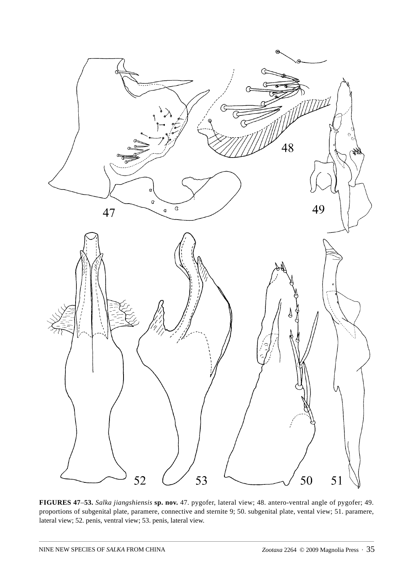

**FIGURES 47**–**53.** *Salka jiangshiensis* **sp. nov.** 47. pygofer, lateral view; 48. antero-ventral angle of pygofer; 49. proportions of subgenital plate, paramere, connective and sternite 9; 50. subgenital plate, vental view; 51. paramere, lateral view; 52. penis, ventral view; 53. penis, lateral view.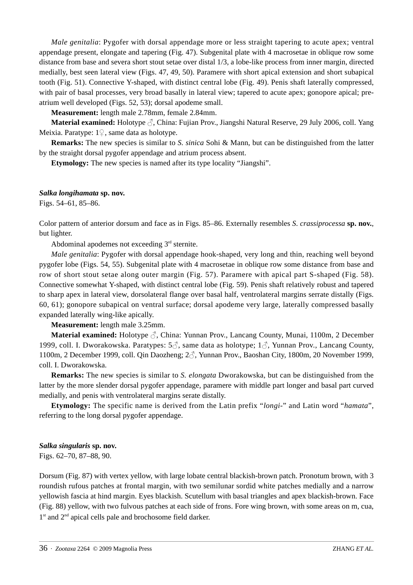*Male genitalia*: Pygofer with dorsal appendage more or less straight tapering to acute apex; ventral appendage present, elongate and tapering (Fig. 47). Subgenital plate with 4 macrosetae in oblique row some distance from base and severa short stout setae over distal 1/3, a lobe-like process from inner margin, directed medially, best seen lateral view (Figs. 47, 49, 50). Paramere with short apical extension and short subapical tooth (Fig. 51). Connective Y-shaped, with distinct central lobe (Fig. 49). Penis shaft laterally compressed, with pair of basal processes, very broad basally in lateral view; tapered to acute apex; gonopore apical; preatrium well developed (Figs. 52, 53); dorsal apodeme small.

**Measurement:** length male 2.78mm, female 2.84mm.

**Material examined:** Holotype ♂, China: Fujian Prov., Jiangshi Natural Reserve, 29 July 2006, coll. Yang Meixia. Paratype:  $1\sqrt{ }$ , same data as holotype.

**Remarks:** The new species is similar to *S. sinica* Sohi & Mann, but can be distinguished from the latter by the straight dorsal pygofer appendage and atrium process absent.

**Etymology:** The new species is named after its type locality "Jiangshi".

### *Salka longihamata* **sp. nov.**

Figs. 54–61, 85–86.

Color pattern of anterior dorsum and face as in Figs. 85–86. Externally resembles *S*. *crassiprocessa* **sp. nov.**, but lighter.

Abdominal apodemes not exceeding  $3<sup>rd</sup>$  sternite.

*Male genitalia*: Pygofer with dorsal appendage hook-shaped, very long and thin, reaching well beyond pygofer lobe (Figs. 54, 55). Subgenital plate with 4 macrosetae in oblique row some distance from base and row of short stout setae along outer margin (Fig. 57). Paramere with apical part S-shaped (Fig. 58). Connective somewhat Y-shaped, with distinct central lobe (Fig. 59). Penis shaft relatively robust and tapered to sharp apex in lateral view, dorsolateral flange over basal half, ventrolateral margins serrate distally (Figs. 60, 61); gonopore subapical on ventral surface; dorsal apodeme very large, laterally compressed basally expanded laterally wing-like apically.

**Measurement:** length male 3.25mm.

**Material examined:** Holotype ♂, China: Yunnan Prov., Lancang County, Munai, 1100m, 2 December 1999, coll. I. Dworakowska. Paratypes:  $5\overset{\frown}{\circ}$ , same data as holotype;  $1\overset{\frown}{\circ}$ , Yunnan Prov., Lancang County, 1100m, 2 December 1999, coll. Qin Daozheng; 2♂, Yunnan Prov., Baoshan City, 1800m, 20 November 1999, coll. I. Dworakowska.

**Remarks:** The new species is similar to *S. elongata* Dworakowska, but can be distinguished from the latter by the more slender dorsal pygofer appendage, paramere with middle part longer and basal part curved medially, and penis with ventrolateral margins serate distally.

**Etymology:** The specific name is derived from the Latin prefix "*longi-*" and Latin word "*hamata*", referring to the long dorsal pygofer appendage.

#### *Salka singularis* **sp. nov.**

Figs. 62–70, 87–88, 90.

Dorsum (Fig. 87) with vertex yellow, with large lobate central blackish-brown patch. Pronotum brown, with 3 roundish rufous patches at frontal margin, with two semilunar sordid white patches medially and a narrow yellowish fascia at hind margin. Eyes blackish. Scutellum with basal triangles and apex blackish-brown. Face (Fig. 88) yellow, with two fulvous patches at each side of frons. Fore wing brown, with some areas on m, cua,  $1<sup>st</sup>$  and  $2<sup>nd</sup>$  apical cells pale and brochosome field darker.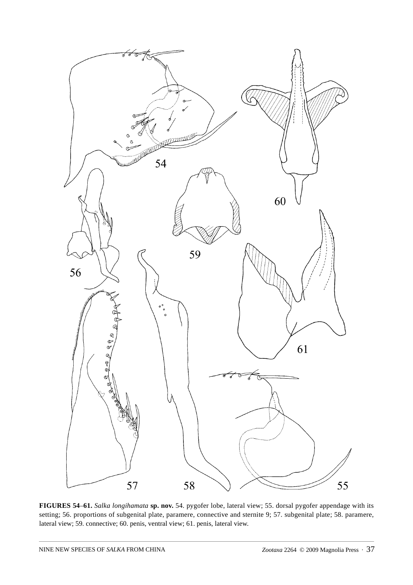

**FIGURES 54**–**61.** *Salka longihamata* **sp. nov.** 54. pygofer lobe, lateral view; 55. dorsal pygofer appendage with its setting; 56. proportions of subgenital plate, paramere, connective and sternite 9; 57. subgenital plate; 58. paramere, lateral view; 59. connective; 60. penis, ventral view; 61. penis, lateral view.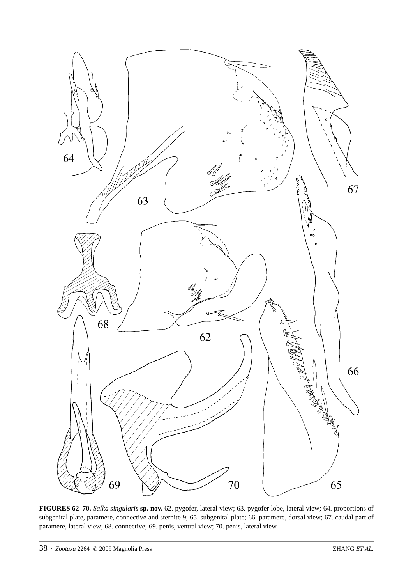

**FIGURES 62**–**70.** *Salka singularis* **sp. nov.** 62. pygofer, lateral view; 63. pygofer lobe, lateral view; 64. proportions of subgenital plate, paramere, connective and sternite 9; 65. subgenital plate; 66. paramere, dorsal view; 67. caudal part of paramere, lateral view; 68. connective; 69. penis, ventral view; 70. penis, lateral view.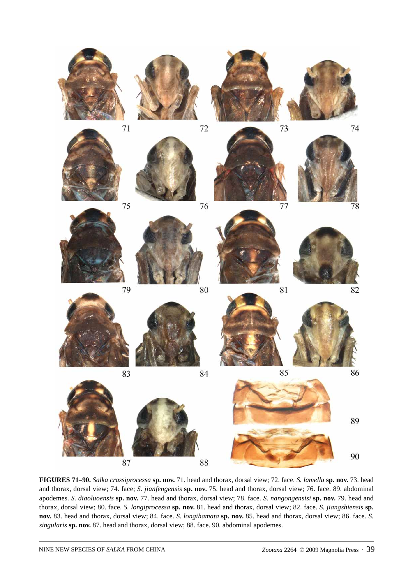

**FIGURES 71–90.** *Salka crassiprocessa* **sp. nov.** 71. head and thorax, dorsal view; 72. face. *S. lamella* **sp. nov.** 73. head and thorax, dorsal view; 74. face; *S. jianfengensis* **sp. nov.** 75. head and thorax, dorsal view; 76. face. 89. abdominal apodemes. *S. diaoluoensis* **sp. nov.** 77. head and thorax, dorsal view; 78. face. *S. nangongensisi* **sp. nov.** 79. head and thorax, dorsal view; 80. face. *S. longiprocessa* **sp. nov.** 81. head and thorax, dorsal view; 82. face. *S. jiangshiensis* **sp. nov.** 83. head and thorax, dorsal view; 84. face. *S. longihamata* **sp. nov.** 85. head and thorax, dorsal view; 86. face. *S. singularis* **sp. nov.** 87. head and thorax, dorsal view; 88. face. 90. abdominal apodemes.